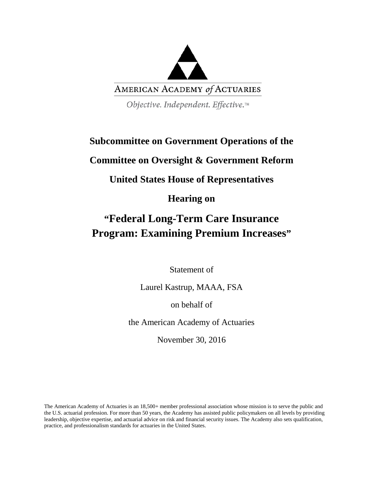

Objective. Independent. Effective.™

# **Subcommittee on Government Operations of the**

## **Committee on Oversight & Government Reform**

# **United States House of Representatives**

# **Hearing on**

# **"Federal Long-Term Care Insurance Program: Examining Premium Increases"**

Statement of

Laurel Kastrup, MAAA, FSA

on behalf of

the American Academy of Actuaries

November 30, 2016

The American Academy of Actuaries is an 18,500+ member professional association whose mission is to serve the public and the U.S. actuarial profession. For more than 50 years, the Academy has assisted public policymakers on all levels by providing leadership, objective expertise, and actuarial advice on risk and financial security issues. The Academy also sets qualification, practice, and professionalism standards for actuaries in the United States.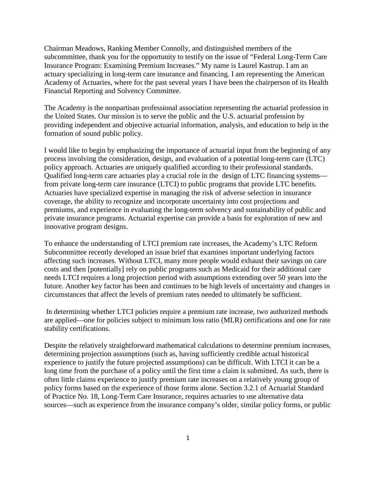Chairman Meadows, Ranking Member Connolly, and distinguished members of the subcommittee, thank you for the opportunity to testify on the issue of "Federal Long-Term Care Insurance Program: Examining Premium Increases." My name is Laurel Kastrup. I am an actuary specializing in long-term care insurance and financing. I am representing the American Academy of Actuaries, where for the past several years I have been the chairperson of its Health Financial Reporting and Solvency Committee.

The Academy is the nonpartisan professional association representing the actuarial profession in the United States. Our mission is to serve the public and the U.S. actuarial profession by providing independent and objective actuarial information, analysis, and education to help in the formation of sound public policy.

I would like to begin by emphasizing the importance of actuarial input from the beginning of any process involving the consideration, design, and evaluation of a potential long-term care (LTC) policy approach. Actuaries are uniquely qualified according to their professional standards. Qualified long-term care actuaries play a crucial role in the design of LTC financing systems from private long-term care insurance (LTCI) to public programs that provide LTC benefits. Actuaries have specialized expertise in managing the risk of adverse selection in insurance coverage, the ability to recognize and incorporate uncertainty into cost projections and premiums, and experience in evaluating the long-term solvency and sustainability of public and private insurance programs. Actuarial expertise can provide a basis for exploration of new and innovative program designs.

To enhance the understanding of LTCI premium rate increases, the Academy's LTC Reform Subcommittee recently developed an issue brief that examines important underlying factors affecting such increases. Without LTCI, many more people would exhaust their savings on care costs and then [potentially] rely on public programs such as Medicaid for their additional care needs LTCI requires a long projection period with assumptions extending over 50 years into the future. Another key factor has been and continues to be high levels of uncertainty and changes in circumstances that affect the levels of premium rates needed to ultimately be sufficient.

In determining whether LTCI policies require a premium rate increase, two authorized methods are applied—one for policies subject to minimum loss ratio (MLR) certifications and one for rate stability certifications.

Despite the relatively straightforward mathematical calculations to determine premium increases, determining projection assumptions (such as, having sufficiently credible actual historical experience to justify the future projected assumptions) can be difficult. With LTCI it can be a long time from the purchase of a policy until the first time a claim is submitted. As such, there is often little claims experience to justify premium rate increases on a relatively young group of policy forms based on the experience of those forms alone. Section 3.2.1 of Actuarial Standard of Practice No. 18, Long-Term Care Insurance, requires actuaries to use alternative data sources—such as experience from the insurance company's older, similar policy forms, or public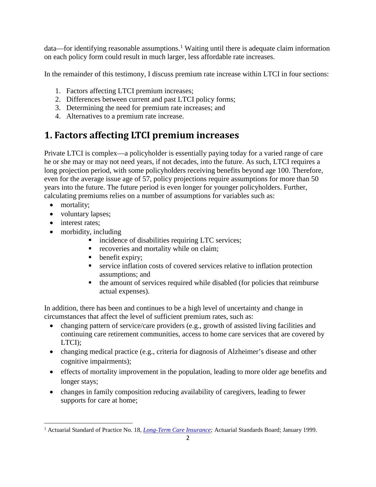data—for identifying reasonable assumptions.<sup>[1](#page-2-0)</sup> Waiting until there is adequate claim information on each policy form could result in much larger, less affordable rate increases.

In the remainder of this testimony, I discuss premium rate increase within LTCI in four sections:

- 1. Factors affecting LTCI premium increases;
- 2. Differences between current and past LTCI policy forms;
- 3. Determining the need for premium rate increases; and
- 4. Alternatives to a premium rate increase.

# **1. Factors affecting LTCI premium increases**

Private LTCI is complex—a policyholder is essentially paying today for a varied range of care he or she may or may not need years, if not decades, into the future. As such, LTCI requires a long projection period, with some policyholders receiving benefits beyond age 100. Therefore, even for the average issue age of 57, policy projections require assumptions for more than 50 years into the future. The future period is even longer for younger policyholders. Further, calculating premiums relies on a number of assumptions for variables such as:

- mortality;
- voluntary lapses;
- interest rates:
- morbidity, including
	- **incidence of disabilities requiring LTC services;**
	- **recoveries and mortality while on claim;**
	- **•** benefit expiry;
	- service inflation costs of covered services relative to inflation protection assumptions; and
	- $\blacksquare$  the amount of services required while disabled (for policies that reimburse actual expenses).

In addition, there has been and continues to be a high level of uncertainty and change in circumstances that affect the level of sufficient premium rates, such as:

- changing pattern of service/care providers (e.g., growth of assisted living facilities and continuing care retirement communities, access to home care services that are covered by LTCI);
- changing medical practice (e.g., criteria for diagnosis of Alzheimer's disease and other cognitive impairments);
- effects of mortality improvement in the population, leading to more older age benefits and longer stays;
- changes in family composition reducing availability of caregivers, leading to fewer supports for care at home;

<span id="page-2-0"></span> $\overline{a}$ <sup>1</sup> Actuarial Standard of Practice No. 18, *Long-Term Care Insurance*; Actuarial Standards Board; January 1999.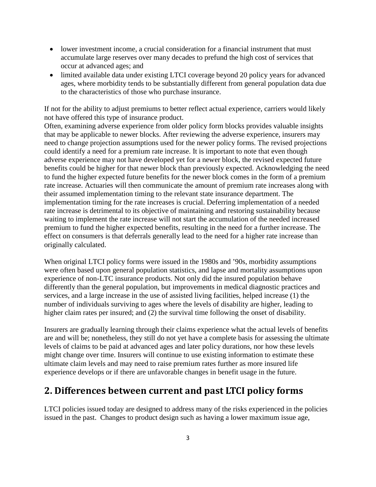- lower investment income, a crucial consideration for a financial instrument that must accumulate large reserves over many decades to prefund the high cost of services that occur at advanced ages; and
- limited available data under existing LTCI coverage beyond 20 policy years for advanced ages, where morbidity tends to be substantially different from general population data due to the characteristics of those who purchase insurance.

If not for the ability to adjust premiums to better reflect actual experience, carriers would likely not have offered this type of insurance product.

Often, examining adverse experience from older policy form blocks provides valuable insights that may be applicable to newer blocks. After reviewing the adverse experience, insurers may need to change projection assumptions used for the newer policy forms. The revised projections could identify a need for a premium rate increase. It is important to note that even though adverse experience may not have developed yet for a newer block, the revised expected future benefits could be higher for that newer block than previously expected. Acknowledging the need to fund the higher expected future benefits for the newer block comes in the form of a premium rate increase. Actuaries will then communicate the amount of premium rate increases along with their assumed implementation timing to the relevant state insurance department. The implementation timing for the rate increases is crucial. Deferring implementation of a needed rate increase is detrimental to its objective of maintaining and restoring sustainability because waiting to implement the rate increase will not start the accumulation of the needed increased premium to fund the higher expected benefits, resulting in the need for a further increase. The effect on consumers is that deferrals generally lead to the need for a higher rate increase than originally calculated.

When original LTCI policy forms were issued in the 1980s and '90s, morbidity assumptions were often based upon general population statistics, and lapse and mortality assumptions upon experience of non-LTC insurance products. Not only did the insured population behave differently than the general population, but improvements in medical diagnostic practices and services, and a large increase in the use of assisted living facilities, helped increase (1) the number of individuals surviving to ages where the levels of disability are higher, leading to higher claim rates per insured; and (2) the survival time following the onset of disability.

Insurers are gradually learning through their claims experience what the actual levels of benefits are and will be; nonetheless, they still do not yet have a complete basis for assessing the ultimate levels of claims to be paid at advanced ages and later policy durations, nor how these levels might change over time. Insurers will continue to use existing information to estimate these ultimate claim levels and may need to raise premium rates further as more insured life experience develops or if there are unfavorable changes in benefit usage in the future.

### **2. Differences between current and past LTCI policy forms**

LTCI policies issued today are designed to address many of the risks experienced in the policies issued in the past. Changes to product design such as having a lower maximum issue age,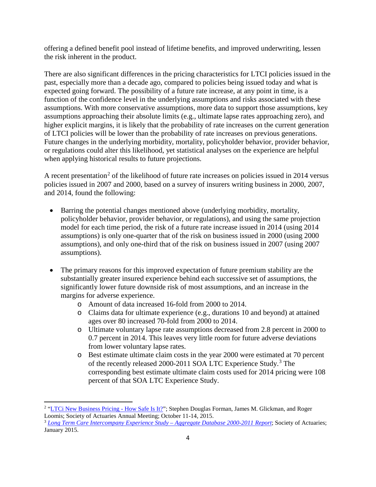offering a defined benefit pool instead of lifetime benefits, and improved underwriting, lessen the risk inherent in the product.

There are also significant differences in the pricing characteristics for LTCI policies issued in the past, especially more than a decade ago, compared to policies being issued today and what is expected going forward. The possibility of a future rate increase, at any point in time, is a function of the confidence level in the underlying assumptions and risks associated with these assumptions. With more conservative assumptions, more data to support those assumptions, key assumptions approaching their absolute limits (e.g., ultimate lapse rates approaching zero), and higher explicit margins, it is likely that the probability of rate increases on the current generation of LTCI policies will be lower than the probability of rate increases on previous generations. Future changes in the underlying morbidity, mortality, policyholder behavior, provider behavior, or regulations could alter this likelihood, yet statistical analyses on the experience are helpful when applying historical results to future projections.

A recent presentation<sup>[2](#page-4-0)</sup> of the likelihood of future rate increases on policies issued in 2014 versus policies issued in 2007 and 2000, based on a survey of insurers writing business in 2000, 2007, and 2014, found the following:

- Barring the potential changes mentioned above (underlying morbidity, mortality, policyholder behavior, provider behavior, or regulations), and using the same projection model for each time period, the risk of a future rate increase issued in 2014 (using 2014 assumptions) is only one-quarter that of the risk on business issued in 2000 (using 2000 assumptions), and only one-third that of the risk on business issued in 2007 (using 2007 assumptions).
- The primary reasons for this improved expectation of future premium stability are the substantially greater insured experience behind each successive set of assumptions, the significantly lower future downside risk of most assumptions, and an increase in the margins for adverse experience.
	- o Amount of data increased 16-fold from 2000 to 2014.
	- o Claims data for ultimate experience (e.g., durations 10 and beyond) at attained ages over 80 increased 70-fold from 2000 to 2014.
	- o Ultimate voluntary lapse rate assumptions decreased from 2.8 percent in 2000 to 0.7 percent in 2014. This leaves very little room for future adverse deviations from lower voluntary lapse rates.
	- o Best estimate ultimate claim costs in the year 2000 were estimated at 70 percent of the recently released 2000-2011 SOA LTC Experience Study.[3](#page-4-1) The corresponding best estimate ultimate claim costs used for 2014 pricing were 108 percent of that SOA LTC Experience Study.

<span id="page-4-0"></span> $\overline{a}$ <sup>2</sup> "LTCi [New Business Pricing -](https://www.soa.org/Files/Pd/2015/annual-meeting/pd-2015-10-annual-session-077.pdf) How Safe Is It?"; Stephen Douglas Forman, James M. Glickman, and Roger Loomis; Society of Actuaries Annual Meeting; October 11-14, 2015.

<span id="page-4-1"></span><sup>3</sup> *[Long Term Care Intercompany Experience Study –](https://www.soa.org/Research/Experience-Study/Ltc/research-ltc-study-2000-11-aggregrated.aspx) Aggregate Database 2000-2011 Report*; Society of Actuaries; January 2015.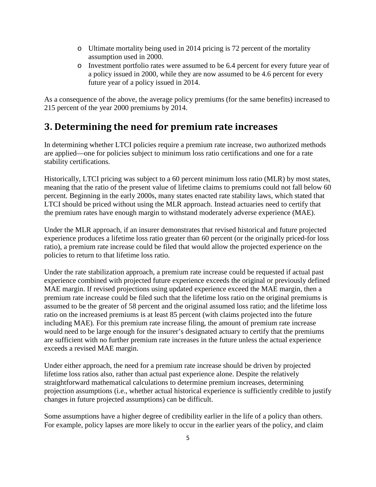- o Ultimate mortality being used in 2014 pricing is 72 percent of the mortality assumption used in 2000.
- o Investment portfolio rates were assumed to be 6.4 percent for every future year of a policy issued in 2000, while they are now assumed to be 4.6 percent for every future year of a policy issued in 2014.

As a consequence of the above, the average policy premiums (for the same benefits) increased to 215 percent of the year 2000 premiums by 2014.

## **3. Determining the need for premium rate increases**

In determining whether LTCI policies require a premium rate increase, two authorized methods are applied—one for policies subject to minimum loss ratio certifications and one for a rate stability certifications.

Historically, LTCI pricing was subject to a 60 percent minimum loss ratio (MLR) by most states, meaning that the ratio of the present value of lifetime claims to premiums could not fall below 60 percent. Beginning in the early 2000s, many states enacted rate stability laws, which stated that LTCI should be priced without using the MLR approach. Instead actuaries need to certify that the premium rates have enough margin to withstand moderately adverse experience (MAE).

Under the MLR approach, if an insurer demonstrates that revised historical and future projected experience produces a lifetime loss ratio greater than 60 percent (or the originally priced-for loss ratio), a premium rate increase could be filed that would allow the projected experience on the policies to return to that lifetime loss ratio.

Under the rate stabilization approach, a premium rate increase could be requested if actual past experience combined with projected future experience exceeds the original or previously defined MAE margin. If revised projections using updated experience exceed the MAE margin, then a premium rate increase could be filed such that the lifetime loss ratio on the original premiums is assumed to be the greater of 58 percent and the original assumed loss ratio; and the lifetime loss ratio on the increased premiums is at least 85 percent (with claims projected into the future including MAE). For this premium rate increase filing, the amount of premium rate increase would need to be large enough for the insurer's designated actuary to certify that the premiums are sufficient with no further premium rate increases in the future unless the actual experience exceeds a revised MAE margin.

Under either approach, the need for a premium rate increase should be driven by projected lifetime loss ratios also, rather than actual past experience alone. Despite the relatively straightforward mathematical calculations to determine premium increases, determining projection assumptions (i.e., whether actual historical experience is sufficiently credible to justify changes in future projected assumptions) can be difficult.

Some assumptions have a higher degree of credibility earlier in the life of a policy than others. For example, policy lapses are more likely to occur in the earlier years of the policy, and claim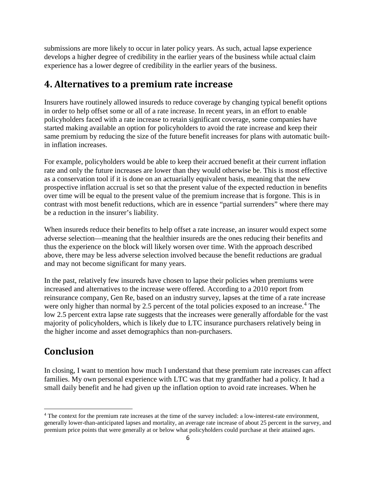submissions are more likely to occur in later policy years. As such, actual lapse experience develops a higher degree of credibility in the earlier years of the business while actual claim experience has a lower degree of credibility in the earlier years of the business.

#### **4. Alternatives to a premium rate increase**

Insurers have routinely allowed insureds to reduce coverage by changing typical benefit options in order to help offset some or all of a rate increase. In recent years, in an effort to enable policyholders faced with a rate increase to retain significant coverage, some companies have started making available an option for policyholders to avoid the rate increase and keep their same premium by reducing the size of the future benefit increases for plans with automatic builtin inflation increases.

For example, policyholders would be able to keep their accrued benefit at their current inflation rate and only the future increases are lower than they would otherwise be. This is most effective as a conservation tool if it is done on an actuarially equivalent basis, meaning that the new prospective inflation accrual is set so that the present value of the expected reduction in benefits over time will be equal to the present value of the premium increase that is forgone. This is in contrast with most benefit reductions, which are in essence "partial surrenders" where there may be a reduction in the insurer's liability.

When insureds reduce their benefits to help offset a rate increase, an insurer would expect some adverse selection—meaning that the healthier insureds are the ones reducing their benefits and thus the experience on the block will likely worsen over time. With the approach described above, there may be less adverse selection involved because the benefit reductions are gradual and may not become significant for many years.

In the past, relatively few insureds have chosen to lapse their policies when premiums were increased and alternatives to the increase were offered. According to a 2010 report from reinsurance company, Gen Re, based on an industry survey, lapses at the time of a rate increase were only higher than normal by 2.5 percent of the total policies exposed to an increase.<sup>[4](#page-6-0)</sup> The low 2.5 percent extra lapse rate suggests that the increases were generally affordable for the vast majority of policyholders, which is likely due to LTC insurance purchasers relatively being in the higher income and asset demographics than non-purchasers.

### **Conclusion**

 $\overline{a}$ 

In closing, I want to mention how much I understand that these premium rate increases can affect families. My own personal experience with LTC was that my grandfather had a policy. It had a small daily benefit and he had given up the inflation option to avoid rate increases. When he

<span id="page-6-0"></span><sup>&</sup>lt;sup>4</sup> The context for the premium rate increases at the time of the survey included: a low-interest-rate environment, generally lower-than-anticipated lapses and mortality, an average rate increase of about 25 percent in the survey, and premium price points that were generally at or below what policyholders could purchase at their attained ages.